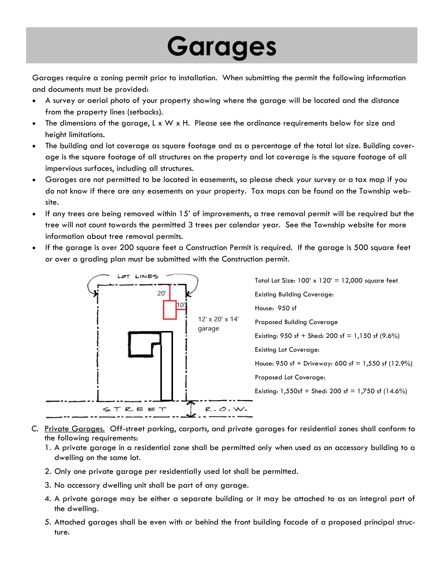## **Garages**

Garages require a zoning permit prior to installation. When submitting the permit the following information and documents must be provided:

- A survey or aerial photo of your property showing where the garage will be located and the distance from the property lines (setbacks).
- The dimensions of the garage, L x W x H. Please see the ordinance requirements below for size and height limitations.
- The building and lot coverage as square footage and as a percentage of the total lot size. Building coverage is the square footage of all structures on the property and lot coverage is the square footage of all impervious surfaces, including all structures.
- Garages are not permitted to be located in easements, so please check your survey or a tax map if you do not know if there are any easements on your property. Tax maps can be found on the Township website.
- If any trees are being removed within 15' of improvements, a tree removal permit will be required but the tree will not count towards the permitted 3 trees per calendar year. See the Township website for more information about tree removal permits.
- If the garage is over 200 square feet a Construction Permit is required. If the garage is 500 square feet or over a grading plan must be submitted with the Construction permit.



- C. Private Garages. Off-street parking, carports, and private garages for residential zones shall conform to the following requirements:
	- 1. A private garage in a residential zone shall be permitted only when used as an accessory building to a dwelling on the same lot.
	- 2. Only one private garage per residentially used lot shall be permitted.
	- 3. No accessory dwelling unit shall be part of any garage.
	- 4. A private garage may be either a separate building or it may be attached to as an integral part of the dwelling.
	- 5. Attached garages shall be even with or behind the front building facade of a proposed principal structure.